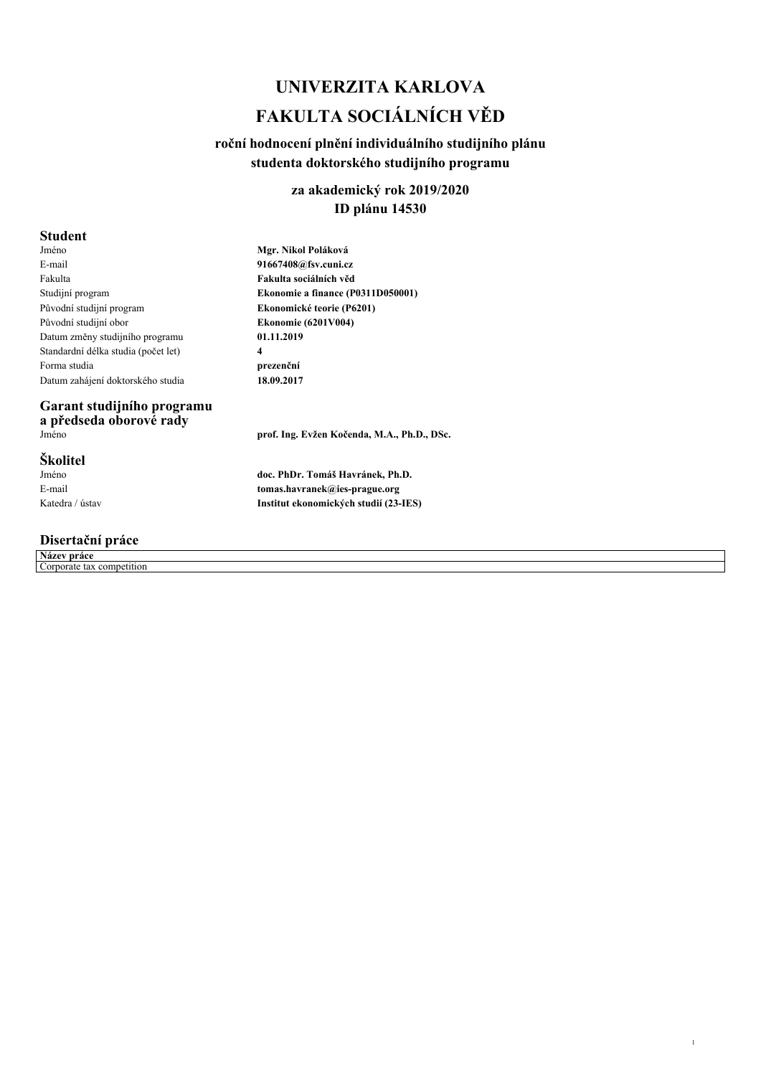# *UNIVERZITA KARLOVA FAKULTA SOCIÁLNÍCH VĚD*

### *roční hodnocení plnění individuálního studijního plánu studenta doktorského studijního programu*

### *za akademický rok 2019/2020 ID plánu 14530*

#### *Student*

| Jméno                               |
|-------------------------------------|
| E-mail                              |
| Fakulta                             |
| Studijní program                    |
| Původní studijní program            |
| Původní studijní obor               |
| Datum změny studijního programu     |
| Standardní délka studia (počet let) |
| Forma studia                        |
| Datum zahájení doktorského studia   |

# *Garant studijního programu a předseda oborové rady*

### *Školitel*

*Jméno E-mail Katedra / ústav*

### *Disertační práce*

| Název práce |                           |  |
|-------------|---------------------------|--|
|             | Corporate tax competition |  |

*Mgr. Nikol Poláková 91667408@fsv.cuni.cz Fakulta sociálních věd Ekonomie a finance (P0311D050001) Ekonomické teorie (P6201) Ekonomie (6201V004) 01.11.2019 4 prezenční 18.09.2017*

*Jméno prof. Ing. Evžen Kočenda, M.A., Ph.D., DSc.*

*1*

*doc. PhDr. Tomáš Havránek, Ph.D. tomas.havranek@ies-prague.org Institut ekonomických studií (23-IES)*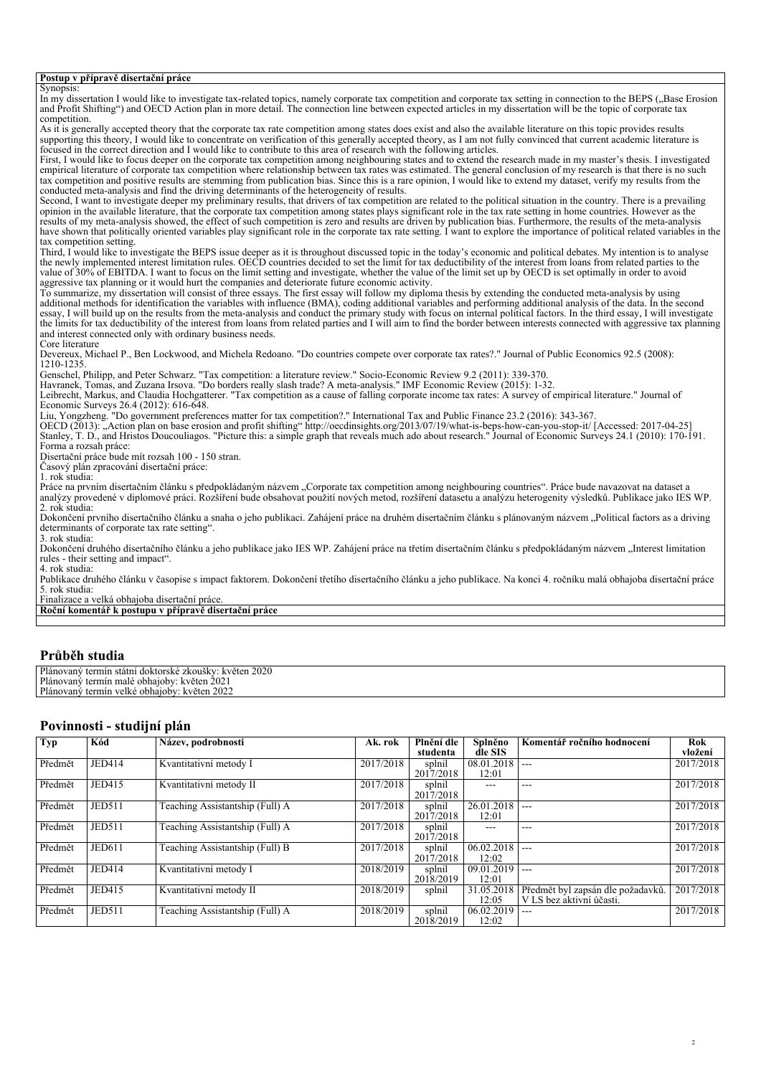#### *Postup v přípravě disertační práce*

*Synopsis:* In my dissertation I would like to investigate tax-related topics, namely corporate tax competition and corporate tax setting in connection to the BEPS ("Base Erosion *and Profit Shifting") and OECD Action plan in more detail. The connection line between expected articles in my dissertation will be the topic of corporate tax competition. As it is generally accepted theory that the corporate tax rate competition among states does exist and also the available literature on this topic provides results supporting this theory, I would like to concentrate on verification of this generally accepted theory, as I am not fully convinced that current academic literature is focused in the correct direction and I would like to contribute to this area of research with the following articles. First, I would like to focus deeper on the corporate tax competition among neighbouring states and to extend the research made in my master's thesis. I investigated empirical literature of corporate tax competition where relationship between tax rates was estimated. The general conclusion of my research is that there is no such tax competition and positive results are stemming from publication bias. Since this is a rare opinion, I would like to extend my dataset, verify my results from the conducted meta-analysis and find the driving determinants of the heterogeneity of results. Second, I want to investigate deeper my preliminary results, that drivers of tax competition are related to the political situation in the country. There is a prevailing opinion in the available literature, that the corporate tax competition among states plays significant role in the tax rate setting in home countries. However as the* results of my meta-analysis showed, the effect of such competition is zero and results are driven by publication bias. Furthermore, the results of the meta-analysis<br>have shown that politically oriented variables play signi *tax competition setting. Third, I would like to investigate the BEPS issue deeper as it is throughout discussed topic in the today's economic and political debates. My intention is to analyse the newly implemented interest limitation rules. OECD countries decided to set the limit for tax deductibility of the interest from loans from related parties to the value of 30% of EBITDA. I want to focus on the limit setting and investigate, whether the value of the limit set up by OECD is set optimally in order to avoid aggressive tax planning or it would hurt the companies and deteriorate future economic activity. To summarize, my dissertation will consist of three essays. The first essay will follow my diploma thesis by extending the conducted meta-analysis by using additional methods for identification the variables with influence (BMA), coding additional variables and performing additional analysis of the data. In the second essay, I will build up on the results from the meta-analysis and conduct the primary study with focus on internal political factors. In the third essay, I will investigate the limits for tax deductibility of the interest from loans from related parties and I will aim to find the border between interests connected with aggressive tax planning and interest connected only with ordinary business needs. Core literature Devereux, Michael P., Ben Lockwood, and Michela Redoano. "Do countries compete over corporate tax rates?." Journal of Public Economics 92.5 (2008): 1210-1235. Genschel, Philipp, and Peter Schwarz. "Tax competition: a literature review." Socio-Economic Review 9.2 (2011): 339-370. Havranek, Tomas, and Zuzana Irsova. "Do borders really slash trade? A meta-analysis." IMF Economic Review (2015): 1-32. Leibrecht, Markus, and Claudia Hochgatterer. "Tax competition as a cause of falling corporate income tax rates: A survey of empirical literature." Journal of Economic Surveys 26.4 (2012): 616-648. Liu, Yongzheng. "Do government preferences matter for tax competition?." International Tax and Public Finance 23.2 (2016): 343-367. OECD (2013): "Action plan on base erosion and profit shifting" http://oecdinsights.org/2013/07/19/what-is-beps-how-can-you-stop-it/ [Accessed: 2017-04-25] Stanley, T. D., and Hristos Doucouliagos. "Picture this: a simple graph that reveals much ado about research." Journal of Economic Surveys 24.1 (2010): 170-191. Forma a rozsah práce: Disertační práce bude mít rozsah 100 - 150 stran. Časový plán zpracování disertační práce: 1. rok studia: Práce na prvním disertačním článku s předpokládaným názvem "Corporate tax competition among neighbouring countries". Práce bude navazovat na dataset a analýzy provedené v diplomové práci. Rozšíření bude obsahovat použití nových metod, rozšíření datasetu a analýzu heterogenity výsledků. Publikace jako IES WP. 2. rok studia: Dokončení prvního disertačního článku a snaha o jeho publikaci. Zahájení práce na druhém disertačním článku s plánovaným názvem "Political factors as a driving determinants of corporate tax rate setting". 3. rok studia: Dokončení druhého disertačního článku a jeho publikace jako IES WP. Zahájení práce na třetím disertačním článku s předpokládaným názvem "Interest limitation rules - their setting and impact". 4. rok studia: Publikace druhého článku v časopise s impact faktorem. Dokončení třetího disertačního článku a jeho publikace. Na konci 4. ročníku malá obhajoba disertační práce 5. rok studia: Finalizace a velká obhajoba disertační práce. Roční komentář k postupu v přípravě disertační práce*

#### *Průběh studia*

| Plánovaný termín státní doktorské zkoušky: květen 2020 |  |
|--------------------------------------------------------|--|
| Plánovaný termín malé obhajoby: květen 2021            |  |
| Plánovaný termín velké obhajoby: květen 2022           |  |

#### *Povinnosti - studijní plán*

| Typ     | Kód           | Název, podrobnosti              | Ak. rok            | Plnění dle | Splněno    | Komentář ročního hodnocení        | Rok       |
|---------|---------------|---------------------------------|--------------------|------------|------------|-----------------------------------|-----------|
|         |               |                                 |                    | studenta   | dle SIS    |                                   | vložení   |
| Předmět | JED414        | Kvantitativní metody I          | 2017/2018          | splnil     | 08.01.2018 | $---$                             | 2017/2018 |
|         |               |                                 |                    | 2017/2018  | 12:01      |                                   |           |
| Předmět | JED415        | Kvantitativní metody II         | 2017/2018          | splnil     | ---        | ---                               | 2017/2018 |
|         |               |                                 |                    | 2017/2018  |            |                                   |           |
| Předmět | <b>JED511</b> | Teaching Assistantship (Full) A | 2017/2018          | splnil     | 26.01.2018 | $---$                             | 2017/2018 |
|         |               |                                 |                    | 2017/2018  | 12:01      |                                   |           |
| Předmět | <b>JED511</b> | Teaching Assistantship (Full) A | 2017/2018          | splnil     | ---        | ---                               | 2017/2018 |
|         |               |                                 |                    | 2017/2018  |            |                                   |           |
| Předmět | <b>JED611</b> | Teaching Assistantship (Full) B | $\sqrt{2017/2018}$ | splnil     | 06.02.2018 | $---$                             | 2017/2018 |
|         |               |                                 |                    | 2017/2018  | 12:02      |                                   |           |
| Předmět | JED414        | Kvantitativní metody I          | 2018/2019          | splnil     | 09.01.2019 | $---$                             | 2017/2018 |
|         |               |                                 |                    | 2018/2019  | 12:01      |                                   |           |
| Předmět | JED415        | Kvantitativní metody II         | 2018/2019          | splnil     | 31.05.2018 | Předmět byl zapsán dle požadavků. | 2017/2018 |
|         |               |                                 |                    |            | 12:05      | V LS bez aktivní účasti.          |           |
| Předmět | <b>JED511</b> | Teaching Assistantship (Full) A | 2018/2019          | splnil     | 06.02.2019 | $---$                             | 2017/2018 |
|         |               |                                 |                    | 2018/2019  | 12:02      |                                   |           |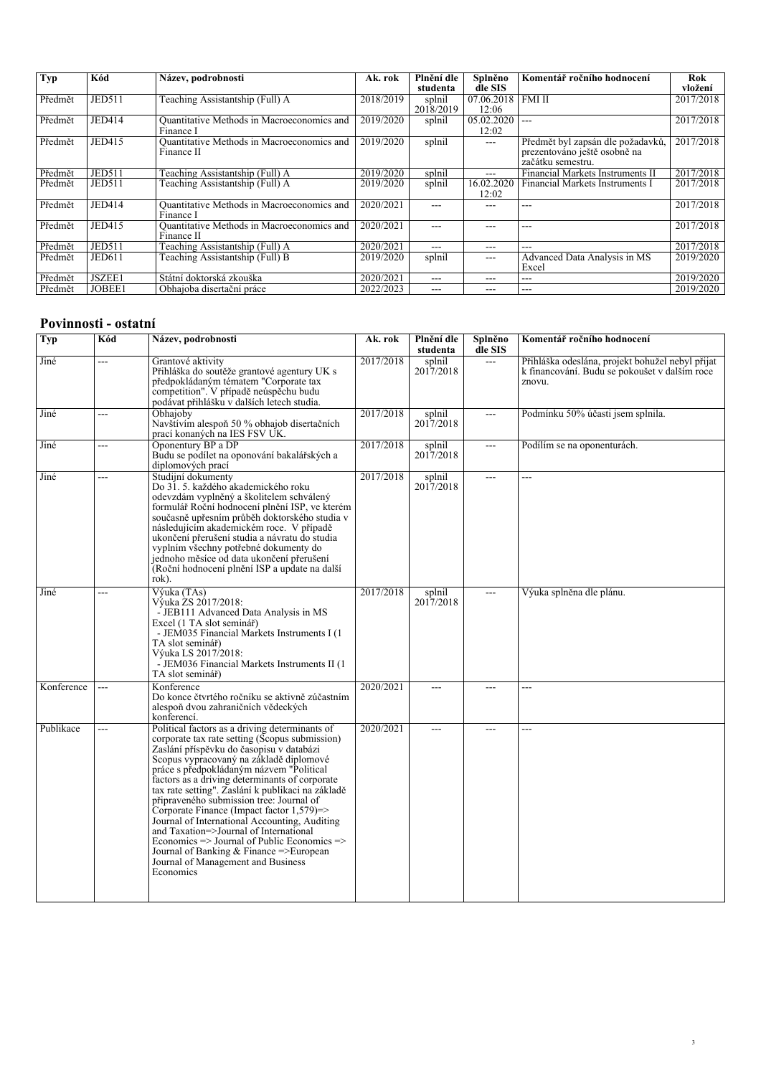| <b>Typ</b> | Kód           | Název, podrobnosti                                             | Ak. rok   | Plnění dle<br>studenta | Splněno<br>dle SIS  | Komentář ročního hodnocení                                                             | Rok<br>vložení |
|------------|---------------|----------------------------------------------------------------|-----------|------------------------|---------------------|----------------------------------------------------------------------------------------|----------------|
| Předmět    | <b>JED511</b> | Teaching Assistantship (Full) A                                | 2018/2019 | splnil<br>2018/2019    | 07.06.2018<br>12:06 | <b>FMI II</b>                                                                          | 2017/2018      |
| Předmět    | <b>JED414</b> | Quantitative Methods in Macroeconomics and<br>Finance I        | 2019/2020 | splnil                 | 05.02.2020<br>12:02 |                                                                                        | 2017/2018      |
| Předmět    | JED415        | Quantitative Methods in Macroeconomics and<br>Finance II       | 2019/2020 | splnil                 | $---$               | Předmět byl zapsán dle požadavků,<br>prezentováno ještě osobně na<br>začátku semestru. | 2017/2018      |
| Předmět    | <b>JED511</b> | Teaching Assistantship (Full) A                                | 2019/2020 | splnil                 | $---$               | Financial Markets Instruments II                                                       | 2017/2018      |
| Předmět    | <b>JED511</b> | Teaching Assistantship (Full) A                                | 2019/2020 | splnil                 | 16.02.2020<br>12:02 | Financial Markets Instruments I                                                        | 2017/2018      |
| Předmět    | <b>JED414</b> | <b>Ouantitative Methods in Macroeconomics and</b><br>Finance I | 2020/2021 | ---                    | ---                 | ---                                                                                    | 2017/2018      |
| Předmět    | <b>JED415</b> | Quantitative Methods in Macroeconomics and<br>Finance II       | 2020/2021 | $- - -$                | ---                 |                                                                                        | 2017/2018      |
| Předmět    | <b>JED511</b> | Teaching Assistantship (Full) A                                | 2020/2021 | $---$                  | $--$                | ---                                                                                    | 2017/2018      |
| Předmět    | JED611        | Teaching Assistantship (Full) B                                | 2019/2020 | splnil                 | $---$               | Advanced Data Analysis in MS<br>Excel                                                  | 2019/2020      |
| Předmět    | JSZEE1        | Státní doktorská zkouška                                       | 2020/2021 | $- - -$                | ---                 | ---                                                                                    | 2019/2020      |
| Předmět    | JOBEE1        | Obhajoba disertační práce                                      | 2022/2023 | $---$                  | ---                 | ---                                                                                    | 2019/2020      |

## *Povinnosti - ostatní*

| <b>Typ</b> | Kód | Název, podrobnosti                                                                                                                                                                                                                                                                                                                                                                                                                                                                                                                                                                                                                                                                                  | Ak. rok   | Plnění dle<br>studenta | Splněno<br>dle SIS | Komentář ročního hodnocení                                                                                  |
|------------|-----|-----------------------------------------------------------------------------------------------------------------------------------------------------------------------------------------------------------------------------------------------------------------------------------------------------------------------------------------------------------------------------------------------------------------------------------------------------------------------------------------------------------------------------------------------------------------------------------------------------------------------------------------------------------------------------------------------------|-----------|------------------------|--------------------|-------------------------------------------------------------------------------------------------------------|
| Jiné       | --- | Grantové aktivity<br>Přihláška do soutěže grantové agentury UK s<br>předpokládaným tématem "Corporate tax<br>competition". V případě neúspěchu budu<br>podávat přihlášku v dalších letech studia.                                                                                                                                                                                                                                                                                                                                                                                                                                                                                                   | 2017/2018 | splnil<br>2017/2018    | $\overline{a}$     | Přihláška odeslána, projekt bohužel nebyl přijat<br>k financování. Budu se pokoušet v dalším roce<br>znovu. |
| Jiné       | --- | Obhajoby<br>Navštívím alespoň 50 % obhajob disertačních<br>prací konaných na IES FSV UK.                                                                                                                                                                                                                                                                                                                                                                                                                                                                                                                                                                                                            | 2017/2018 | splnil<br>2017/2018    | $\overline{a}$     | Podmínku 50% účasti jsem splnila.                                                                           |
| Jiné       | --- | Oponentury BP a DP<br>Budu se podílet na oponování bakalářských a<br>diplomových prací                                                                                                                                                                                                                                                                                                                                                                                                                                                                                                                                                                                                              | 2017/2018 | splnil<br>2017/2018    | $\overline{a}$     | Podílím se na oponenturách.                                                                                 |
| Jiné       | --- | Studijní dokumenty<br>Do 31. 5. každého akademického roku<br>odevzdám vyplněný a školitelem schválený<br>formulář Roční hodnocení plnění ISP, ve kterém<br>současně upřesním průběh doktorského studia v<br>následujícím akademickém roce. V případě<br>ukončení přerušení studia a návratu do studia<br>vyplním všechny potřebné dokumenty do<br>jednoho měsíce od data ukončení přerušení<br>(Roční hodnocení plnění ISP a update na další<br>rok).                                                                                                                                                                                                                                               | 2017/2018 | splnil<br>2017/2018    | $\overline{a}$     | ---                                                                                                         |
| Jiné       | --- | Výuka (TAs)<br>Výuka ZS 2017/2018:<br>- JEB111 Advanced Data Analysis in MS<br>Excel (1 TA slot seminář)<br>- JEM035 Financial Markets Instruments I (1)<br>TA slot seminář)<br>Výuka LS 2017/2018:<br>- JEM036 Financial Markets Instruments II (1)<br>TA slot seminář)                                                                                                                                                                                                                                                                                                                                                                                                                            | 2017/2018 | splnil<br>2017/2018    | $\overline{a}$     | Výuka splněna dle plánu.                                                                                    |
| Konference | --- | Konference<br>Do konce čtvrtého ročníku se aktivně zúčastním<br>alespoň dvou zahraničních vědeckých<br>konferencí.                                                                                                                                                                                                                                                                                                                                                                                                                                                                                                                                                                                  | 2020/2021 | $---$                  | $---$              | ---                                                                                                         |
| Publikace  | --- | Political factors as a driving determinants of<br>corporate tax rate setting (Scopus submission)<br>Zaslání příspěvku do časopisu v databázi<br>Scopus vypracovaný na základě diplomové<br>práce s předpokládaným názvem "Political<br>factors as a driving determinants of corporate<br>tax rate setting". Zaslání k publikaci na základě<br>připraveného submission tree: Journal of<br>Corporate Finance (Impact factor 1,579)=><br>Journal of International Accounting, Auditing<br>and Taxation=>Journal of International<br>Economics $\Rightarrow$ Journal of Public Economics $\Rightarrow$<br>Journal of Banking $&$ Finance =>European<br>Journal of Management and Business<br>Economics | 2020/2021 | $---$                  | $\overline{a}$     | ---                                                                                                         |

*3*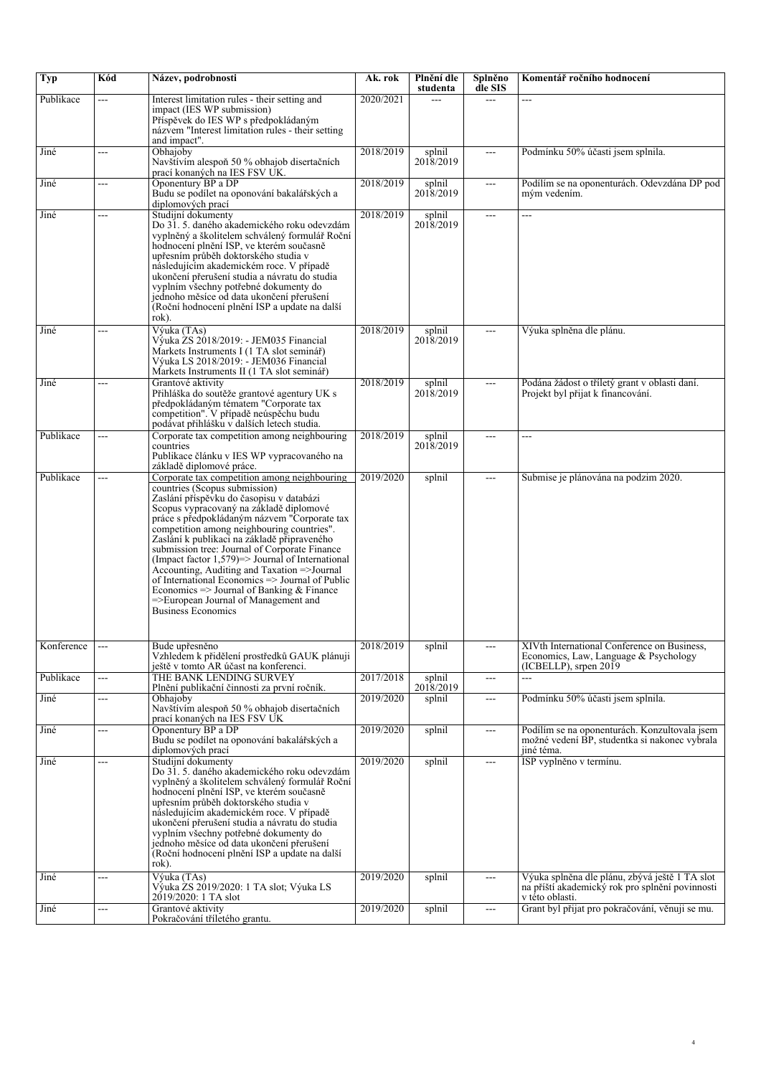| <b>Typ</b> | Kód | Název, podrobnosti                                                                                                                                                                                                                                                                                                                                                                                                                                                                                                                                                                                                                                | Ak. rok   | Plnění dle<br>studenta | Splněno<br>dle SIS       | Komentář ročního hodnocení                                                                                           |
|------------|-----|---------------------------------------------------------------------------------------------------------------------------------------------------------------------------------------------------------------------------------------------------------------------------------------------------------------------------------------------------------------------------------------------------------------------------------------------------------------------------------------------------------------------------------------------------------------------------------------------------------------------------------------------------|-----------|------------------------|--------------------------|----------------------------------------------------------------------------------------------------------------------|
| Publikace  | --- | Interest limitation rules - their setting and<br>impact (IES WP submission)<br>Příspěvek do IES WP s předpokládaným<br>názvem "Interest limitation rules - their setting<br>and impact".                                                                                                                                                                                                                                                                                                                                                                                                                                                          | 2020/2021 | ---                    | $\overline{a}$           | ---                                                                                                                  |
| Jiné       | --- | Obhajoby<br>Navštívím alespoň 50 % obhajob disertačních<br>prací konaných na IES FSV UK.                                                                                                                                                                                                                                                                                                                                                                                                                                                                                                                                                          | 2018/2019 | splnil<br>2018/2019    | $\overline{a}$           | Podmínku 50% účasti jsem splnila.                                                                                    |
| Jiné       | --- | Oponentury BP a DP<br>Budu se podílet na oponování bakalářských a<br>diplomových prací                                                                                                                                                                                                                                                                                                                                                                                                                                                                                                                                                            | 2018/2019 | splnil<br>2018/2019    | $\overline{a}$           | Podílím se na oponenturách. Odevzdána DP pod<br>mým vedením.                                                         |
| Jiné       | --- | Studijní dokumenty<br>Do 31.5. daného akademického roku odevzdám<br>vyplněný a školitelem schválený formulář Roční<br>hodnocení plnění ISP, ve kterém současně<br>upřesním průběh doktorského studia v<br>následujícím akademickém roce. V případě<br>ukončení přerušení studia a návratu do studia<br>vyplním všechny potřebné dokumenty do<br>jednoho měsíce od data ukončení přerušení<br>(Roční hodnocení plnění ISP a update na další<br>rok).                                                                                                                                                                                               | 2018/2019 | splnil<br>2018/2019    | $\overline{a}$           | ---                                                                                                                  |
| Jiné       | --- | Výuka (TAs)<br>Výuka ZS 2018/2019: - JEM035 Financial<br>Markets Instruments I (1 TA slot seminář)<br>Výuka LS 2018/2019: - JEM036 Financial<br>Markets Instruments II (1 TA slot seminář)                                                                                                                                                                                                                                                                                                                                                                                                                                                        | 2018/2019 | splnil<br>2018/2019    | $---$                    | Výuka splněna dle plánu.                                                                                             |
| Jiné       | --- | Grantové aktivity<br>Přihláška do soutěže grantové agentury UK s<br>předpokládaným tématem "Corporate tax<br>competition". V případě neúspěchu budu<br>podávat přihlášku v dalších letech studia.                                                                                                                                                                                                                                                                                                                                                                                                                                                 | 2018/2019 | splnil<br>2018/2019    | $\overline{a}$           | Podána žádost o tříletý grant v oblasti daní.<br>Projekt byl přijat k financování.                                   |
| Publikace  | --- | Corporate tax competition among neighbouring<br>countries<br>Publikace článku v IES WP vypracovaného na<br>základě diplomové práce.                                                                                                                                                                                                                                                                                                                                                                                                                                                                                                               | 2018/2019 | splnil<br>2018/2019    | $---$                    | ---                                                                                                                  |
| Publikace  | --- | Corporate tax competition among neighbouring<br>countries (Scopus submission)<br>Zaslání příspěvku do časopisu v databázi<br>Scopus vypracovaný na základě diplomové<br>práce s předpokládaným názvem "Corporate tax<br>competition among neighbouring countries".<br>Zaslání k publikaci na základě připraveného<br>submission tree: Journal of Corporate Finance<br>(Impact factor $1,579$ ) = Journal of International<br>Accounting, Auditing and Taxation =>Journal<br>of International Economics => Journal of Public<br>Economics $\Rightarrow$ Journal of Banking & Finance<br>=>European Journal of Management and<br>Business Economics | 2019/2020 | splnil                 | $\overline{a}$           | Submise je plánována na podzim 2020.                                                                                 |
| Konference | --- | Bude upřesněno<br>Vzhledem k přidělení prostředků GAUK plánuji                                                                                                                                                                                                                                                                                                                                                                                                                                                                                                                                                                                    | 2018/2019 | splnil                 | ---                      | XIVth International Conference on Business,<br>Economics, Law, Language & Psychology                                 |
| Publikace  | --- | ještě v tomto AR účasť na konferenci.<br>THE BANK LENDING SURVEY                                                                                                                                                                                                                                                                                                                                                                                                                                                                                                                                                                                  | 2017/2018 | splnil                 | $\qquad \qquad -$        | $(ICBELLP)$ , srpen 2019<br>---                                                                                      |
| Jiné       | --- | Plnění publikační činnosti za první ročník.<br>Obhaioby<br>Navštívím alespoň 50 % obhajob disertačních<br>prací konaných na IES FSV UK                                                                                                                                                                                                                                                                                                                                                                                                                                                                                                            | 2019/2020 | 2018/2019<br>splnil    | $\hspace{0.05cm} \ldots$ | Podmínku 50% účasti jsem splnila.                                                                                    |
| Jiné       | --- | Oponentury BP a DP<br>Budu se podílet na oponování bakalářských a<br>diplomových prací                                                                                                                                                                                                                                                                                                                                                                                                                                                                                                                                                            | 2019/2020 | splnil                 | $\sim$ $\sim$            | Podílím se na oponenturách. Konzultovala jsem<br>možné vedení BP, studentka si nakonec vybrala<br>jiné téma.         |
| Jiné       | --- | Studijní dokumenty<br>Do 31. 5. daného akademického roku odevzdám<br>vyplněný a školitelem schválený formulář Roční<br>hodnocení plnění ISP, ve kterém současně<br>upřesním průběh doktorského studia v<br>následujícím akademickém roce. V případě<br>ukončení přerušení studia a návratu do studia<br>vyplním všechny potřebné dokumenty do<br>jednoho měsíce od data ukončení přerušení<br>(Roční hodnocení plnění ISP a update na další<br>rok).                                                                                                                                                                                              | 2019/2020 | splnil                 | $\sim$ $\sim$ $\sim$     | ISP vyplněno v termínu.                                                                                              |
| Jiné       | --- | Výuka (TAs)<br>Výuka ZS 2019/2020: 1 TA slot; Výuka LS<br>2019/2020: 1 TA slot                                                                                                                                                                                                                                                                                                                                                                                                                                                                                                                                                                    | 2019/2020 | splnil                 | $---$                    | Výuka splněna dle plánu, zbývá ještě 1 TA slot<br>na příští akademický rok pro splnění povinnosti<br>v této oblasti. |
| Jiné       | --- | Grantové aktivity<br>Pokračování tříletého grantu.                                                                                                                                                                                                                                                                                                                                                                                                                                                                                                                                                                                                | 2019/2020 | splnil                 | $\overline{a}$           | Grant byl přijat pro pokračování, věnuji se mu.                                                                      |

*4*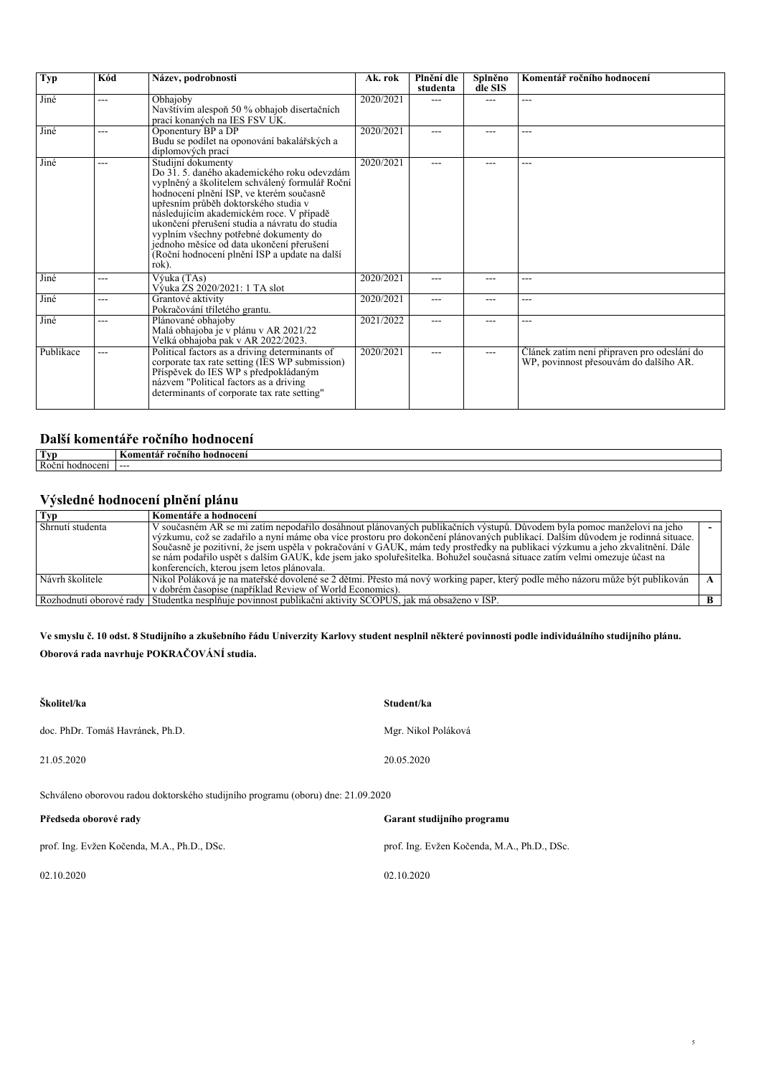| <b>Typ</b> | Kód   | Název, podrobnosti                                                                                                                                                                                                                                                                                                                                                                                                                                   | Ak. rok   | Plnění dle<br>studenta | Splněno<br>dle SIS | Komentář ročního hodnocení                                                            |
|------------|-------|------------------------------------------------------------------------------------------------------------------------------------------------------------------------------------------------------------------------------------------------------------------------------------------------------------------------------------------------------------------------------------------------------------------------------------------------------|-----------|------------------------|--------------------|---------------------------------------------------------------------------------------|
| Jiné       | ---   | Obhajoby<br>Navštívím alespoň 50 % obhajob disertačních<br>prací konaných na IES FSV UK.                                                                                                                                                                                                                                                                                                                                                             | 2020/2021 | ---                    | ---                | ---                                                                                   |
| Jiné       | ---   | Oponentury BP a DP<br>Budu se podílet na oponování bakalářských a<br>diplomových prací                                                                                                                                                                                                                                                                                                                                                               | 2020/2021 | ---                    | ---                | ---                                                                                   |
| Jiné       | ---   | Studijní dokumenty<br>Do 31. 5. daného akademického roku odevzdám<br>vyplněný a školitelem schválený formulář Roční<br>hodnocení plnění ISP, ve kterém současně<br>upřesním průběh doktorského studia v<br>následujícím akademickém roce. V případě<br>ukončení přerušení studia a návratu do studia<br>vyplním všechny potřebné dokumenty do<br>jednoho měsíce od data ukončení přerušení<br>(Roční hodnocení plnění ISP a update na další<br>rok). | 2020/2021 | ---                    | ---                | ---                                                                                   |
| Jiné       | ---   | Výuka (TAs)<br>Výuka ZS 2020/2021: 1 TA slot                                                                                                                                                                                                                                                                                                                                                                                                         | 2020/2021 | ---                    | ---                | ---                                                                                   |
| Jiné       | ---   | Grantové aktivity<br>Pokračování tříletého grantu.                                                                                                                                                                                                                                                                                                                                                                                                   | 2020/2021 | ---                    | ---                | ---                                                                                   |
| Jiné       | ---   | Plánované obhajoby<br>Malá obhajoba je v plánu v AR 2021/22<br>Velká obhajoba pak v AR 2022/2023.                                                                                                                                                                                                                                                                                                                                                    | 2021/2022 | ---                    | ---                | ---                                                                                   |
| Publikace  | $---$ | Political factors as a driving determinants of<br>corporate tax rate setting (IES WP submission)<br>Příspěvek do IES WP s předpokládaným<br>názvem "Political factors as a driving"<br>determinants of corporate tax rate setting"                                                                                                                                                                                                                   | 2020/2021 | ---                    | $---$              | Clánek zatím není připraven pro odeslání do<br>WP, povinnost přesouvám do dalšího AR. |

### *Další komentáře ročního hodnocení*

| Tvr                        | hodnoceni<br>⊺omentá.<br>$- - -$<br>ч. |
|----------------------------|----------------------------------------|
| $D_0$ $\lambda$ n<br>oceni | .                                      |

## *Výsledné hodnocení plnění plánu*

| Typ              | Komentáře a hodnocení                                                                                                                                                                                                                                                                                                                                                                                                                                                                                                 |  |
|------------------|-----------------------------------------------------------------------------------------------------------------------------------------------------------------------------------------------------------------------------------------------------------------------------------------------------------------------------------------------------------------------------------------------------------------------------------------------------------------------------------------------------------------------|--|
| Shrnutí studenta | V současném AR se mi zatím nepodařilo dosáhnout plánovaných publikačních výstupů. Důvodem byla pomoc manželovi na jeho<br>výzkumu, což se zadařilo a nyní máme oba více prostoru pro dokončení plánovaných publikací. Dalším důvodem je rodinná situace.<br>Současně je pozitivní, že jsem uspěla v pokračování v GAUK, mám tedy prostředky na publikaci výzkumu a jeho zkvalitnění. Dále<br>se nám podařilo uspět s dalším GAUK, kde jsem jako spoluřešitelka. Bohužel současná situace zatím velmi omezuje účast na |  |
|                  | konferencích, kterou jsem letos plánovala.                                                                                                                                                                                                                                                                                                                                                                                                                                                                            |  |
| Návrh školitele  | Nikol Poláková je na mateřské dovolené se 2 dětmi. Přesto má nový working paper, který podle mého názoru může být publikován                                                                                                                                                                                                                                                                                                                                                                                          |  |
|                  | v dobrém časopise (například Review of World Economics).                                                                                                                                                                                                                                                                                                                                                                                                                                                              |  |
|                  | Rozhodnutí oborové rady Studentka nesplňuje povinnost publikační aktivity SCOPUS, jak má obsaženo v ISP.                                                                                                                                                                                                                                                                                                                                                                                                              |  |

*5*

*Ve smyslu č. 10 odst. 8 Studijního a zkušebního řádu Univerzity Karlovy student nesplnil některé povinnosti podle individuálního studijního plánu. Oborová rada navrhuje POKRAČOVÁNÍ studia.*

| Školitel/ka                                                                      | Student/ka                                  |
|----------------------------------------------------------------------------------|---------------------------------------------|
| doc. PhDr. Tomáš Havránek, Ph.D.                                                 | Mgr. Nikol Poláková                         |
| 21.05.2020                                                                       | 20.05.2020                                  |
| Schváleno oborovou radou doktorského studijního programu (oboru) dne: 21.09.2020 |                                             |
| Předseda oborové rady                                                            | Garant studijního programu                  |
| prof. Ing. Evžen Kočenda, M.A., Ph.D., DSc.                                      | prof. Ing. Evžen Kočenda, M.A., Ph.D., DSc. |
| 02.10.2020                                                                       | 02.10.2020                                  |